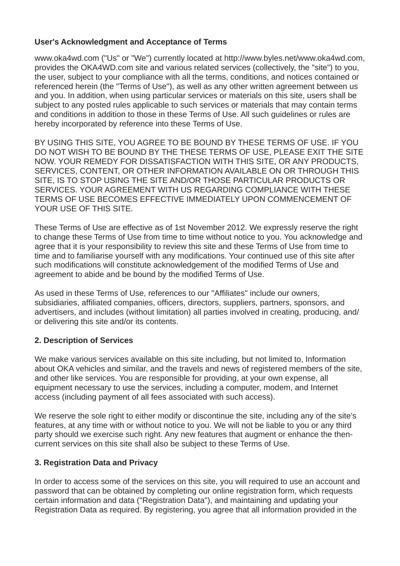#### **User's Acknowledgment and Acceptance of Terms**

www.oka4wd.com ("Us" or "We") currently located at [http://www.byles.net/www.oka4wd.com,](http://www.byles.net/www.oka4wd.com) provides the OKA4WD.com site and various related services (collectively, the "site") to you, the user, subject to your compliance with all the terms, conditions, and notices contained or referenced herein (the "Terms of Use"), as well as any other written agreement between us and you. In addition, when using particular services or materials on this site, users shall be subject to any posted rules applicable to such services or materials that may contain terms and conditions in addition to those in these Terms of Use. All such guidelines or rules are hereby incorporated by reference into these Terms of Use.

BY USING THIS SITE, YOU AGREE TO BE BOUND BY THESE TERMS OF USE. IF YOU DO NOT WISH TO BE BOUND BY THE THESE TERMS OF USE, PLEASE EXIT THE SITE NOW. YOUR REMEDY FOR DISSATISFACTION WITH THIS SITE, OR ANY PRODUCTS, SERVICES, CONTENT, OR OTHER INFORMATION AVAILABLE ON OR THROUGH THIS SITE, IS TO STOP USING THE SITE AND/OR THOSE PARTICULAR PRODUCTS OR SERVICES. YOUR AGREEMENT WITH US REGARDING COMPLIANCE WITH THESE TERMS OF USE BECOMES EFFECTIVE IMMEDIATELY UPON COMMENCEMENT OF YOUR USE OF THIS SITE.

These Terms of Use are effective as of 1st November 2012. We expressly reserve the right to change these Terms of Use from time to time without notice to you. You acknowledge and agree that it is your responsibility to review this site and these Terms of Use from time to time and to familiarise yourself with any modifications. Your continued use of this site after such modifications will constitute acknowledgement of the modified Terms of Use and agreement to abide and be bound by the modified Terms of Use.

As used in these Terms of Use, references to our "Affiliates" include our owners, subsidiaries, affiliated companies, officers, directors, suppliers, partners, sponsors, and advertisers, and includes (without limitation) all parties involved in creating, producing, and/ or delivering this site and/or its contents.

### **2. Description of Services**

We make various services available on this site including, but not limited to, Information about OKA vehicles and similar, and the travels and news of registered members of the site, and other like services. You are responsible for providing, at your own expense, all equipment necessary to use the services, including a computer, modem, and Internet access (including payment of all fees associated with such access).

We reserve the sole right to either modify or discontinue the site, including any of the site's features, at any time with or without notice to you. We will not be liable to you or any third party should we exercise such right. Any new features that augment or enhance the thencurrent services on this site shall also be subject to these Terms of Use.

### **3. Registration Data and Privacy**

In order to access some of the services on this site, you will required to use an account and password that can be obtained by completing our online registration form, which requests certain information and data ("Registration Data"), and maintaining and updating your Registration Data as required. By registering, you agree that all information provided in the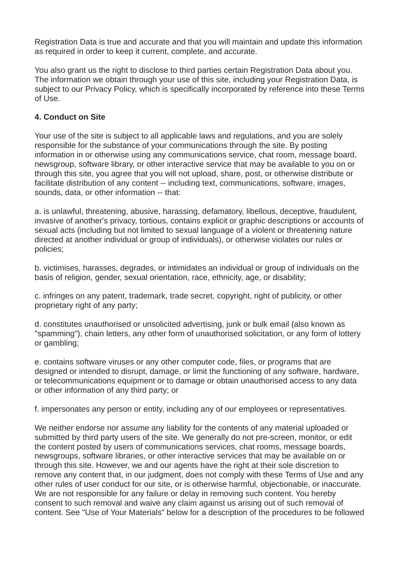Registration Data is true and accurate and that you will maintain and update this information as required in order to keep it current, complete, and accurate.

You also grant us the right to disclose to third parties certain Registration Data about you. The information we obtain through your use of this site, including your Registration Data, is subject to our Privacy Policy, which is specifically incorporated by reference into these Terms of Use.

## **4. Conduct on Site**

Your use of the site is subject to all applicable laws and regulations, and you are solely responsible for the substance of your communications through the site. By posting information in or otherwise using any communications service, chat room, message board, newsgroup, software library, or other interactive service that may be available to you on or through this site, you agree that you will not upload, share, post, or otherwise distribute or facilitate distribution of any content -- including text, communications, software, images, sounds, data, or other information -- that:

a. is unlawful, threatening, abusive, harassing, defamatory, libellous, deceptive, fraudulent, invasive of another's privacy, tortious, contains explicit or graphic descriptions or accounts of sexual acts (including but not limited to sexual language of a violent or threatening nature directed at another individual or group of individuals), or otherwise violates our rules or policies;

b. victimises, harasses, degrades, or intimidates an individual or group of individuals on the basis of religion, gender, sexual orientation, race, ethnicity, age, or disability;

c. infringes on any patent, trademark, trade secret, copyright, right of publicity, or other proprietary right of any party;

d. constitutes unauthorised or unsolicited advertising, junk or bulk email (also known as "spamming"), chain letters, any other form of unauthorised solicitation, or any form of lottery or gambling;

e. contains software viruses or any other computer code, files, or programs that are designed or intended to disrupt, damage, or limit the functioning of any software, hardware, or telecommunications equipment or to damage or obtain unauthorised access to any data or other information of any third party; or

f. impersonates any person or entity, including any of our employees or representatives.

We neither endorse nor assume any liability for the contents of any material uploaded or submitted by third party users of the site. We generally do not pre-screen, monitor, or edit the content posted by users of communications services, chat rooms, message boards, newsgroups, software libraries, or other interactive services that may be available on or through this site. However, we and our agents have the right at their sole discretion to remove any content that, in our judgment, does not comply with these Terms of Use and any other rules of user conduct for our site, or is otherwise harmful, objectionable, or inaccurate. We are not responsible for any failure or delay in removing such content. You hereby consent to such removal and waive any claim against us arising out of such removal of content. See "Use of Your Materials" below for a description of the procedures to be followed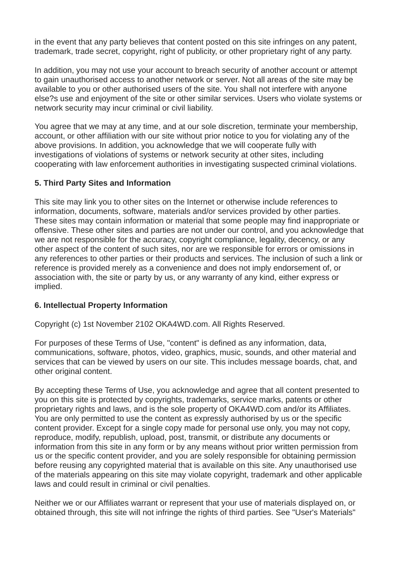in the event that any party believes that content posted on this site infringes on any patent, trademark, trade secret, copyright, right of publicity, or other proprietary right of any party.

In addition, you may not use your account to breach security of another account or attempt to gain unauthorised access to another network or server. Not all areas of the site may be available to you or other authorised users of the site. You shall not interfere with anyone else?s use and enjoyment of the site or other similar services. Users who violate systems or network security may incur criminal or civil liability.

You agree that we may at any time, and at our sole discretion, terminate your membership, account, or other affiliation with our site without prior notice to you for violating any of the above provisions. In addition, you acknowledge that we will cooperate fully with investigations of violations of systems or network security at other sites, including cooperating with law enforcement authorities in investigating suspected criminal violations.

#### **5. Third Party Sites and Information**

This site may link you to other sites on the Internet or otherwise include references to information, documents, software, materials and/or services provided by other parties. These sites may contain information or material that some people may find inappropriate or offensive. These other sites and parties are not under our control, and you acknowledge that we are not responsible for the accuracy, copyright compliance, legality, decency, or any other aspect of the content of such sites, nor are we responsible for errors or omissions in any references to other parties or their products and services. The inclusion of such a link or reference is provided merely as a convenience and does not imply endorsement of, or association with, the site or party by us, or any warranty of any kind, either express or implied.

### **6. Intellectual Property Information**

Copyright (c) 1st November 2102 OKA4WD.com. All Rights Reserved.

For purposes of these Terms of Use, "content" is defined as any information, data, communications, software, photos, video, graphics, music, sounds, and other material and services that can be viewed by users on our site. This includes message boards, chat, and other original content.

By accepting these Terms of Use, you acknowledge and agree that all content presented to you on this site is protected by copyrights, trademarks, service marks, patents or other proprietary rights and laws, and is the sole property of OKA4WD.com and/or its Affiliates. You are only permitted to use the content as expressly authorised by us or the specific content provider. Except for a single copy made for personal use only, you may not copy, reproduce, modify, republish, upload, post, transmit, or distribute any documents or information from this site in any form or by any means without prior written permission from us or the specific content provider, and you are solely responsible for obtaining permission before reusing any copyrighted material that is available on this site. Any unauthorised use of the materials appearing on this site may violate copyright, trademark and other applicable laws and could result in criminal or civil penalties.

Neither we or our Affiliates warrant or represent that your use of materials displayed on, or obtained through, this site will not infringe the rights of third parties. See "User's Materials"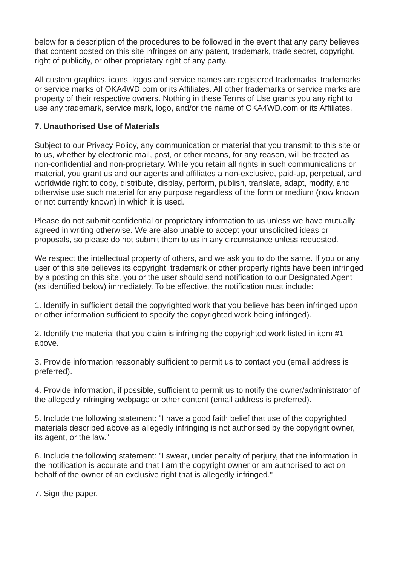below for a description of the procedures to be followed in the event that any party believes that content posted on this site infringes on any patent, trademark, trade secret, copyright, right of publicity, or other proprietary right of any party.

All custom graphics, icons, logos and service names are registered trademarks, trademarks or service marks of OKA4WD.com or its Affiliates. All other trademarks or service marks are property of their respective owners. Nothing in these Terms of Use grants you any right to use any trademark, service mark, logo, and/or the name of OKA4WD.com or its Affiliates.

## **7. Unauthorised Use of Materials**

Subject to our Privacy Policy, any communication or material that you transmit to this site or to us, whether by electronic mail, post, or other means, for any reason, will be treated as non-confidential and non-proprietary. While you retain all rights in such communications or material, you grant us and our agents and affiliates a non-exclusive, paid-up, perpetual, and worldwide right to copy, distribute, display, perform, publish, translate, adapt, modify, and otherwise use such material for any purpose regardless of the form or medium (now known or not currently known) in which it is used.

Please do not submit confidential or proprietary information to us unless we have mutually agreed in writing otherwise. We are also unable to accept your unsolicited ideas or proposals, so please do not submit them to us in any circumstance unless requested.

We respect the intellectual property of others, and we ask you to do the same. If you or any user of this site believes its copyright, trademark or other property rights have been infringed by a posting on this site, you or the user should send notification to our Designated Agent (as identified below) immediately. To be effective, the notification must include:

1. Identify in sufficient detail the copyrighted work that you believe has been infringed upon or other information sufficient to specify the copyrighted work being infringed).

2. Identify the material that you claim is infringing the copyrighted work listed in item #1 above.

3. Provide information reasonably sufficient to permit us to contact you (email address is preferred).

4. Provide information, if possible, sufficient to permit us to notify the owner/administrator of the allegedly infringing webpage or other content (email address is preferred).

5. Include the following statement: "I have a good faith belief that use of the copyrighted materials described above as allegedly infringing is not authorised by the copyright owner, its agent, or the law."

6. Include the following statement: "I swear, under penalty of perjury, that the information in the notification is accurate and that I am the copyright owner or am authorised to act on behalf of the owner of an exclusive right that is allegedly infringed."

7. Sign the paper.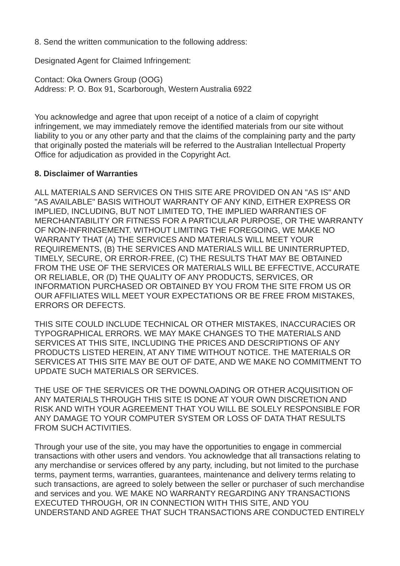8. Send the written communication to the following address:

Designated Agent for Claimed Infringement:

Contact: Oka Owners Group (OOG) Address: P. O. Box 91, Scarborough, Western Australia 6922

You acknowledge and agree that upon receipt of a notice of a claim of copyright infringement, we may immediately remove the identified materials from our site without liability to you or any other party and that the claims of the complaining party and the party that originally posted the materials will be referred to the Australian Intellectual Property Office for adjudication as provided in the Copyright Act.

#### **8. Disclaimer of Warranties**

ALL MATERIALS AND SERVICES ON THIS SITE ARE PROVIDED ON AN "AS IS" AND "AS AVAILABLE" BASIS WITHOUT WARRANTY OF ANY KIND, EITHER EXPRESS OR IMPLIED, INCLUDING, BUT NOT LIMITED TO, THE IMPLIED WARRANTIES OF MERCHANTABILITY OR FITNESS FOR A PARTICULAR PURPOSE, OR THE WARRANTY OF NON-INFRINGEMENT. WITHOUT LIMITING THE FOREGOING, WE MAKE NO WARRANTY THAT (A) THE SERVICES AND MATERIALS WILL MEET YOUR REQUIREMENTS, (B) THE SERVICES AND MATERIALS WILL BE UNINTERRUPTED, TIMELY, SECURE, OR ERROR-FREE, (C) THE RESULTS THAT MAY BE OBTAINED FROM THE USE OF THE SERVICES OR MATERIALS WILL BE EFFECTIVE, ACCURATE OR RELIABLE, OR (D) THE QUALITY OF ANY PRODUCTS, SERVICES, OR INFORMATION PURCHASED OR OBTAINED BY YOU FROM THE SITE FROM US OR OUR AFFILIATES WILL MEET YOUR EXPECTATIONS OR BE FREE FROM MISTAKES, ERRORS OR DEFECTS.

THIS SITE COULD INCLUDE TECHNICAL OR OTHER MISTAKES, INACCURACIES OR TYPOGRAPHICAL ERRORS. WE MAY MAKE CHANGES TO THE MATERIALS AND SERVICES AT THIS SITE, INCLUDING THE PRICES AND DESCRIPTIONS OF ANY PRODUCTS LISTED HEREIN, AT ANY TIME WITHOUT NOTICE. THE MATERIALS OR SERVICES AT THIS SITE MAY BE OUT OF DATE, AND WE MAKE NO COMMITMENT TO UPDATE SUCH MATERIALS OR SERVICES.

THE USE OF THE SERVICES OR THE DOWNLOADING OR OTHER ACQUISITION OF ANY MATERIALS THROUGH THIS SITE IS DONE AT YOUR OWN DISCRETION AND RISK AND WITH YOUR AGREEMENT THAT YOU WILL BE SOLELY RESPONSIBLE FOR ANY DAMAGE TO YOUR COMPUTER SYSTEM OR LOSS OF DATA THAT RESULTS FROM SUCH ACTIVITIES.

Through your use of the site, you may have the opportunities to engage in commercial transactions with other users and vendors. You acknowledge that all transactions relating to any merchandise or services offered by any party, including, but not limited to the purchase terms, payment terms, warranties, guarantees, maintenance and delivery terms relating to such transactions, are agreed to solely between the seller or purchaser of such merchandise and services and you. WE MAKE NO WARRANTY REGARDING ANY TRANSACTIONS EXECUTED THROUGH, OR IN CONNECTION WITH THIS SITE, AND YOU UNDERSTAND AND AGREE THAT SUCH TRANSACTIONS ARE CONDUCTED ENTIRELY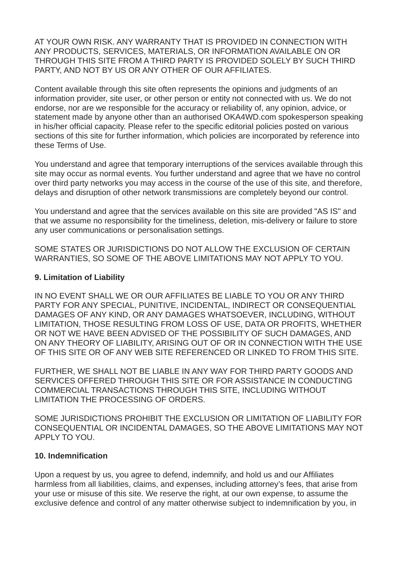AT YOUR OWN RISK. ANY WARRANTY THAT IS PROVIDED IN CONNECTION WITH ANY PRODUCTS, SERVICES, MATERIALS, OR INFORMATION AVAILABLE ON OR THROUGH THIS SITE FROM A THIRD PARTY IS PROVIDED SOLELY BY SUCH THIRD PARTY, AND NOT BY US OR ANY OTHER OF OUR AFFILIATES.

Content available through this site often represents the opinions and judgments of an information provider, site user, or other person or entity not connected with us. We do not endorse, nor are we responsible for the accuracy or reliability of, any opinion, advice, or statement made by anyone other than an authorised OKA4WD.com spokesperson speaking in his/her official capacity. Please refer to the specific editorial policies posted on various sections of this site for further information, which policies are incorporated by reference into these Terms of Use.

You understand and agree that temporary interruptions of the services available through this site may occur as normal events. You further understand and agree that we have no control over third party networks you may access in the course of the use of this site, and therefore, delays and disruption of other network transmissions are completely beyond our control.

You understand and agree that the services available on this site are provided "AS IS" and that we assume no responsibility for the timeliness, deletion, mis-delivery or failure to store any user communications or personalisation settings.

SOME STATES OR JURISDICTIONS DO NOT ALLOW THE EXCLUSION OF CERTAIN WARRANTIES, SO SOME OF THE ABOVE LIMITATIONS MAY NOT APPLY TO YOU.

#### **9. Limitation of Liability**

IN NO EVENT SHALL WE OR OUR AFFILIATES BE LIABLE TO YOU OR ANY THIRD PARTY FOR ANY SPECIAL, PUNITIVE, INCIDENTAL, INDIRECT OR CONSEQUENTIAL DAMAGES OF ANY KIND, OR ANY DAMAGES WHATSOEVER, INCLUDING, WITHOUT LIMITATION, THOSE RESULTING FROM LOSS OF USE, DATA OR PROFITS, WHETHER OR NOT WE HAVE BEEN ADVISED OF THE POSSIBILITY OF SUCH DAMAGES, AND ON ANY THEORY OF LIABILITY, ARISING OUT OF OR IN CONNECTION WITH THE USE OF THIS SITE OR OF ANY WEB SITE REFERENCED OR LINKED TO FROM THIS SITE.

FURTHER, WE SHALL NOT BE LIABLE IN ANY WAY FOR THIRD PARTY GOODS AND SERVICES OFFERED THROUGH THIS SITE OR FOR ASSISTANCE IN CONDUCTING COMMERCIAL TRANSACTIONS THROUGH THIS SITE, INCLUDING WITHOUT LIMITATION THE PROCESSING OF ORDERS.

SOME JURISDICTIONS PROHIBIT THE EXCLUSION OR LIMITATION OF LIABILITY FOR CONSEQUENTIAL OR INCIDENTAL DAMAGES, SO THE ABOVE LIMITATIONS MAY NOT APPLY TO YOU.

#### **10. Indemnification**

Upon a request by us, you agree to defend, indemnify, and hold us and our Affiliates harmless from all liabilities, claims, and expenses, including attorney's fees, that arise from your use or misuse of this site. We reserve the right, at our own expense, to assume the exclusive defence and control of any matter otherwise subject to indemnification by you, in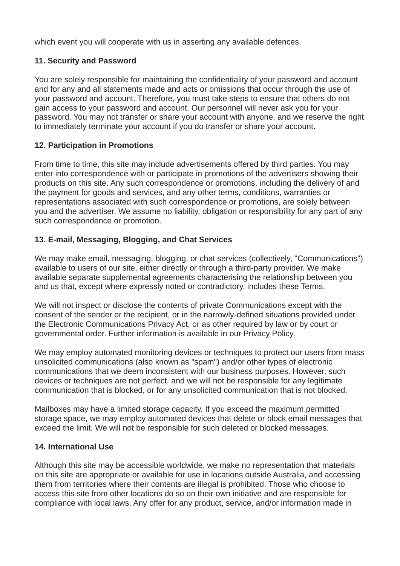which event you will cooperate with us in asserting any available defences.

## **11. Security and Password**

You are solely responsible for maintaining the confidentiality of your password and account and for any and all statements made and acts or omissions that occur through the use of your password and account. Therefore, you must take steps to ensure that others do not gain access to your password and account. Our personnel will never ask you for your password. You may not transfer or share your account with anyone, and we reserve the right to immediately terminate your account if you do transfer or share your account.

## **12. Participation in Promotions**

From time to time, this site may include advertisements offered by third parties. You may enter into correspondence with or participate in promotions of the advertisers showing their products on this site. Any such correspondence or promotions, including the delivery of and the payment for goods and services, and any other terms, conditions, warranties or representations associated with such correspondence or promotions, are solely between you and the advertiser. We assume no liability, obligation or responsibility for any part of any such correspondence or promotion.

# **13. E-mail, Messaging, Blogging, and Chat Services**

We may make email, messaging, blogging, or chat services (collectively, "Communications") available to users of our site, either directly or through a third-party provider. We make available separate supplemental agreements characterising the relationship between you and us that, except where expressly noted or contradictory, includes these Terms.

We will not inspect or disclose the contents of private Communications except with the consent of the sender or the recipient, or in the narrowly-defined situations provided under the Electronic Communications Privacy Act, or as other required by law or by court or governmental order. Further information is available in our Privacy Policy.

We may employ automated monitoring devices or techniques to protect our users from mass unsolicited communications (also known as "spam") and/or other types of electronic communications that we deem inconsistent with our business purposes. However, such devices or techniques are not perfect, and we will not be responsible for any legitimate communication that is blocked, or for any unsolicited communication that is not blocked.

Mailboxes may have a limited storage capacity. If you exceed the maximum permitted storage space, we may employ automated devices that delete or block email messages that exceed the limit. We will not be responsible for such deleted or blocked messages.

### **14. International Use**

Although this site may be accessible worldwide, we make no representation that materials on this site are appropriate or available for use in locations outside Australia, and accessing them from territories where their contents are illegal is prohibited. Those who choose to access this site from other locations do so on their own initiative and are responsible for compliance with local laws. Any offer for any product, service, and/or information made in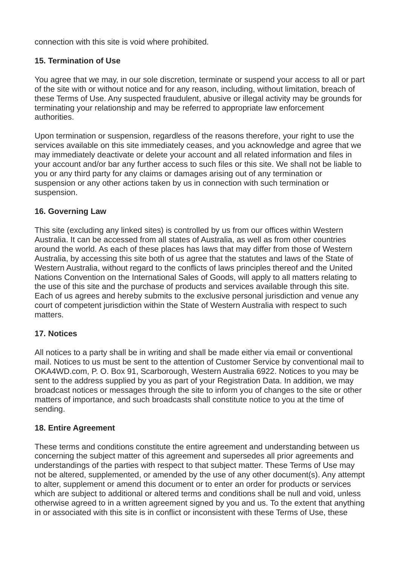connection with this site is void where prohibited.

## **15. Termination of Use**

You agree that we may, in our sole discretion, terminate or suspend your access to all or part of the site with or without notice and for any reason, including, without limitation, breach of these Terms of Use. Any suspected fraudulent, abusive or illegal activity may be grounds for terminating your relationship and may be referred to appropriate law enforcement authorities.

Upon termination or suspension, regardless of the reasons therefore, your right to use the services available on this site immediately ceases, and you acknowledge and agree that we may immediately deactivate or delete your account and all related information and files in your account and/or bar any further access to such files or this site. We shall not be liable to you or any third party for any claims or damages arising out of any termination or suspension or any other actions taken by us in connection with such termination or suspension.

### **16. Governing Law**

This site (excluding any linked sites) is controlled by us from our offices within Western Australia. It can be accessed from all states of Australia, as well as from other countries around the world. As each of these places has laws that may differ from those of Western Australia, by accessing this site both of us agree that the statutes and laws of the State of Western Australia, without regard to the conflicts of laws principles thereof and the United Nations Convention on the International Sales of Goods, will apply to all matters relating to the use of this site and the purchase of products and services available through this site. Each of us agrees and hereby submits to the exclusive personal jurisdiction and venue any court of competent jurisdiction within the State of Western Australia with respect to such matters.

### **17. Notices**

All notices to a party shall be in writing and shall be made either via email or conventional mail. Notices to us must be sent to the attention of Customer Service by conventional mail to OKA4WD.com, P. O. Box 91, Scarborough, Western Australia 6922. Notices to you may be sent to the address supplied by you as part of your Registration Data. In addition, we may broadcast notices or messages through the site to inform you of changes to the site or other matters of importance, and such broadcasts shall constitute notice to you at the time of sending.

### **18. Entire Agreement**

These terms and conditions constitute the entire agreement and understanding between us concerning the subject matter of this agreement and supersedes all prior agreements and understandings of the parties with respect to that subject matter. These Terms of Use may not be altered, supplemented, or amended by the use of any other document(s). Any attempt to alter, supplement or amend this document or to enter an order for products or services which are subject to additional or altered terms and conditions shall be null and void, unless otherwise agreed to in a written agreement signed by you and us. To the extent that anything in or associated with this site is in conflict or inconsistent with these Terms of Use, these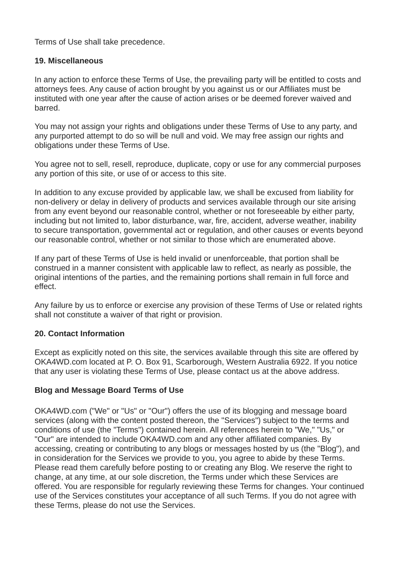Terms of Use shall take precedence.

#### **19. Miscellaneous**

In any action to enforce these Terms of Use, the prevailing party will be entitled to costs and attorneys fees. Any cause of action brought by you against us or our Affiliates must be instituted with one year after the cause of action arises or be deemed forever waived and barred.

You may not assign your rights and obligations under these Terms of Use to any party, and any purported attempt to do so will be null and void. We may free assign our rights and obligations under these Terms of Use.

You agree not to sell, resell, reproduce, duplicate, copy or use for any commercial purposes any portion of this site, or use of or access to this site.

In addition to any excuse provided by applicable law, we shall be excused from liability for non-delivery or delay in delivery of products and services available through our site arising from any event beyond our reasonable control, whether or not foreseeable by either party, including but not limited to, labor disturbance, war, fire, accident, adverse weather, inability to secure transportation, governmental act or regulation, and other causes or events beyond our reasonable control, whether or not similar to those which are enumerated above.

If any part of these Terms of Use is held invalid or unenforceable, that portion shall be construed in a manner consistent with applicable law to reflect, as nearly as possible, the original intentions of the parties, and the remaining portions shall remain in full force and effect.

Any failure by us to enforce or exercise any provision of these Terms of Use or related rights shall not constitute a waiver of that right or provision.

### **20. Contact Information**

Except as explicitly noted on this site, the services available through this site are offered by OKA4WD.com located at P. O. Box 91, Scarborough, Western Australia 6922. If you notice that any user is violating these Terms of Use, please contact us at the above address.

### **Blog and Message Board Terms of Use**

OKA4WD.com ("We" or "Us" or "Our") offers the use of its blogging and message board services (along with the content posted thereon, the "Services") subject to the terms and conditions of use (the "Terms") contained herein. All references herein to "We," "Us," or "Our" are intended to include OKA4WD.com and any other affiliated companies. By accessing, creating or contributing to any blogs or messages hosted by us (the "Blog"), and in consideration for the Services we provide to you, you agree to abide by these Terms. Please read them carefully before posting to or creating any Blog. We reserve the right to change, at any time, at our sole discretion, the Terms under which these Services are offered. You are responsible for regularly reviewing these Terms for changes. Your continued use of the Services constitutes your acceptance of all such Terms. If you do not agree with these Terms, please do not use the Services.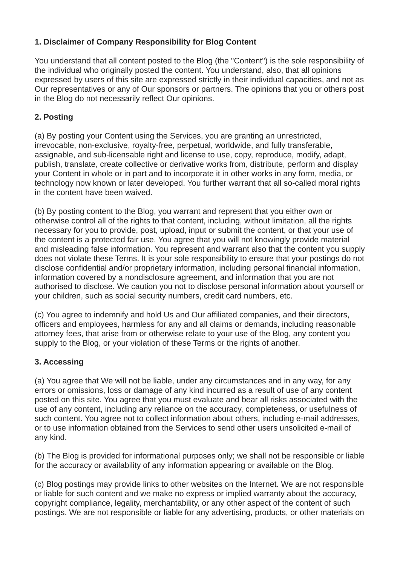# **1. Disclaimer of Company Responsibility for Blog Content**

You understand that all content posted to the Blog (the "Content") is the sole responsibility of the individual who originally posted the content. You understand, also, that all opinions expressed by users of this site are expressed strictly in their individual capacities, and not as Our representatives or any of Our sponsors or partners. The opinions that you or others post in the Blog do not necessarily reflect Our opinions.

# **2. Posting**

(a) By posting your Content using the Services, you are granting an unrestricted, irrevocable, non-exclusive, royalty-free, perpetual, worldwide, and fully transferable, assignable, and sub-licensable right and license to use, copy, reproduce, modify, adapt, publish, translate, create collective or derivative works from, distribute, perform and display your Content in whole or in part and to incorporate it in other works in any form, media, or technology now known or later developed. You further warrant that all so-called moral rights in the content have been waived.

(b) By posting content to the Blog, you warrant and represent that you either own or otherwise control all of the rights to that content, including, without limitation, all the rights necessary for you to provide, post, upload, input or submit the content, or that your use of the content is a protected fair use. You agree that you will not knowingly provide material and misleading false information. You represent and warrant also that the content you supply does not violate these Terms. It is your sole responsibility to ensure that your postings do not disclose confidential and/or proprietary information, including personal financial information, information covered by a nondisclosure agreement, and information that you are not authorised to disclose. We caution you not to disclose personal information about yourself or your children, such as social security numbers, credit card numbers, etc.

(c) You agree to indemnify and hold Us and Our affiliated companies, and their directors, officers and employees, harmless for any and all claims or demands, including reasonable attorney fees, that arise from or otherwise relate to your use of the Blog, any content you supply to the Blog, or your violation of these Terms or the rights of another.

### **3. Accessing**

(a) You agree that We will not be liable, under any circumstances and in any way, for any errors or omissions, loss or damage of any kind incurred as a result of use of any content posted on this site. You agree that you must evaluate and bear all risks associated with the use of any content, including any reliance on the accuracy, completeness, or usefulness of such content. You agree not to collect information about others, including e-mail addresses, or to use information obtained from the Services to send other users unsolicited e-mail of any kind.

(b) The Blog is provided for informational purposes only; we shall not be responsible or liable for the accuracy or availability of any information appearing or available on the Blog.

(c) Blog postings may provide links to other websites on the Internet. We are not responsible or liable for such content and we make no express or implied warranty about the accuracy, copyright compliance, legality, merchantability, or any other aspect of the content of such postings. We are not responsible or liable for any advertising, products, or other materials on